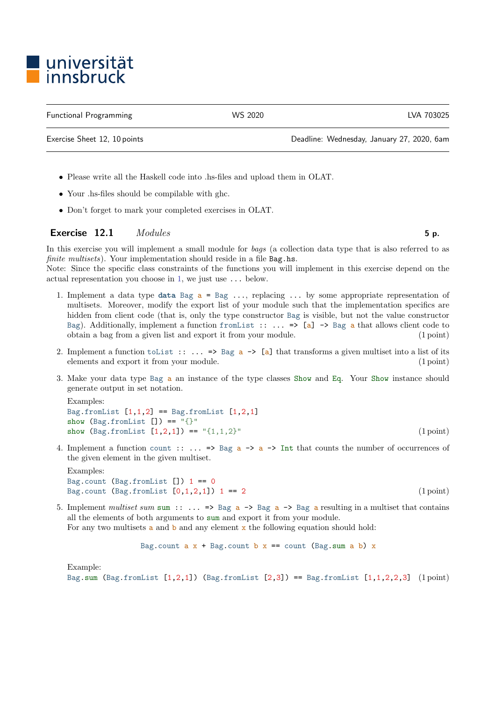## l universität<br>Linnsbruck

Functional Programming WS 2020 LVA 703025

Exercise Sheet 12, 10 points Deadline: Wednesday, January 27, 2020, 6am

- Please write all the Haskell code into .hs-files and upload them in OLAT.
- Your .hs-files should be compilable with ghc.
- Don't forget to mark your completed exercises in OLAT.

## Exercise  $12.1$  *Modules* 5 p.

In this exercise you will implement a small module for *bags* (a collection data type that is also referred to as finite multisets). Your implementation should reside in a file Bag.hs.

Note: Since the specific class constraints of the functions you will implement in this exercise depend on the actual representation you choose in [1,](#page-0-0) we just use ... below.

- <span id="page-0-0"></span>1. Implement a data type data Bag  $a = Bag \ldots$ , replacing  $\ldots$  by some appropriate representation of multisets. Moreover, modify the export list of your module such that the implementation specifics are hidden from client code (that is, only the type constructor Bag is visible, but not the value constructor Bag). Additionally, implement a function from List ::  $\ldots$  => [a] -> Bag a that allows client code to obtain a bag from a given list and export it from your module. (1 point)
- 2. Implement a function to List ::  $\ldots$  => Bag  $a \rightarrow [a]$  that transforms a given multiset into a list of its elements and export it from your module. (1 point)
- 3. Make your data type Bag a an instance of the type classes Show and Eq. Your Show instance should generate output in set notation.

Examples: Bag.fromList  $[1,1,2]$  == Bag.fromList  $[1,2,1]$ show  $(Bag.fromList [] ) == "{}'$ show  $(Bag.fromList [1,2,1]) == "{1,1,2}"$  (1 point)

4. Implement a function count ::  $\ldots$  => Bag  $a \rightarrow a \rightarrow$  Int that counts the number of occurrences of the given element in the given multiset.

Examples: Bag.count (Bag.fromList  $[]$ ) 1 == 0 Bag.count  $(Bag.fromList [0,1,2,1])$  1 == 2 (1 point)

5. Implement multiset sum sum  $\cdots$  => Bag  $a \rightarrow$  Bag  $a \rightarrow$  Bag a resulting in a multiset that contains all the elements of both arguments to sum and export it from your module.

For any two multisets  $\alpha$  and  $\beta$  and any element  $\alpha$  the following equation should hold:

Bag.count a 
$$
x + Bag.count b x == count (Bag.sum a b) x
$$

Example:

Bag.sum (Bag.fromList  $[1,2,1]$ ) (Bag.fromList  $[2,3]$ ) == Bag.fromList  $[1,1,2,2,3]$  (1 point)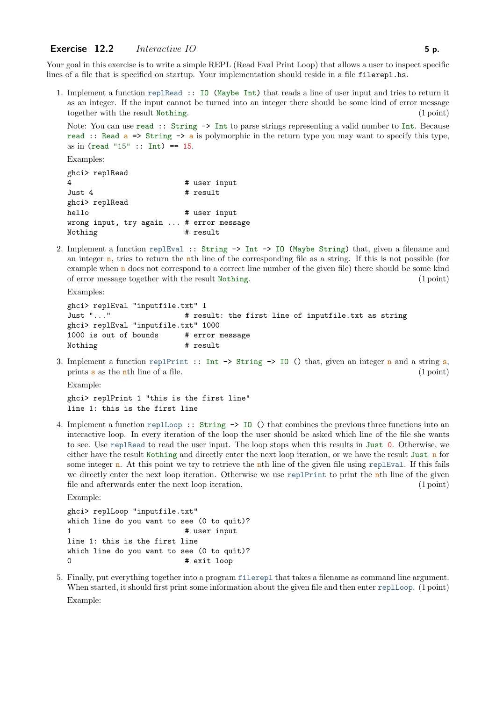## Exercise  $12.2$  Interactive IO 5 p.

Your goal in this exercise is to write a simple REPL (Read Eval Print Loop) that allows a user to inspect specific lines of a file that is specified on startup. Your implementation should reside in a file filerepl.hs.

1. Implement a function replRead :: IO (Maybe Int) that reads a line of user input and tries to return it as an integer. If the input cannot be turned into an integer there should be some kind of error message together with the result Nothing. (1 point)

Note: You can use read :: String  $\rightarrow$  Int to parse strings representing a valid number to Int. Because read :: Read  $a \Rightarrow$  String  $\rightarrow a$  is polymorphic in the return type you may want to specify this type, as in (read "15" :: Int) ==  $15$ .

Examples:

```
ghci> replRead
4 # user input
Just 4 \qquad # result
ghci> replRead
hello # user input
wrong input, try again ... # error message
Nothing # result
```
2. Implement a function replEval :: String -> Int -> IO (Maybe String) that, given a filename and an integer  $n$ , tries to return the nth line of the corresponding file as a string. If this is not possible (for example when n does not correspond to a correct line number of the given file) there should be some kind of error message together with the result Nothing. (1 point)

Examples: ghci> replEval "inputfile.txt" 1 Just "..." # result: the first line of inputfile.txt as string ghci> replEval "inputfile.txt" 1000 1000 is out of bounds # error message Nothing  $#$  result

3. Implement a function replPrint :: Int  $\rightarrow$  String  $\rightarrow$  IO () that, given an integer n and a string s, prints  $s$  as the n<sup>th</sup> line of a file. (1 point)

Example:

ghci> replPrint 1 "this is the first line" line 1: this is the first line

4. Implement a function replLoop :: String -> IO () that combines the previous three functions into an interactive loop. In every iteration of the loop the user should be asked which line of the file she wants to see. Use replRead to read the user input. The loop stops when this results in Just 0. Otherwise, we either have the result Nothing and directly enter the next loop iteration, or we have the result Just n for some integer **n**. At this point we try to retrieve the **n**th line of the given file using replEval. If this fails we directly enter the next loop iteration. Otherwise we use replPrint to print the nth line of the given file and afterwards enter the next loop iteration. (1 point)

Example:

ghci> replLoop "inputfile.txt" which line do you want to see (0 to quit)? 1 **#** user input line 1: this is the first line which line do you want to see (0 to quit)? 0 # exit loop

5. Finally, put everything together into a program filerepl that takes a filename as command line argument. When started, it should first print some information about the given file and then enter replLoop. (1 point) Example: